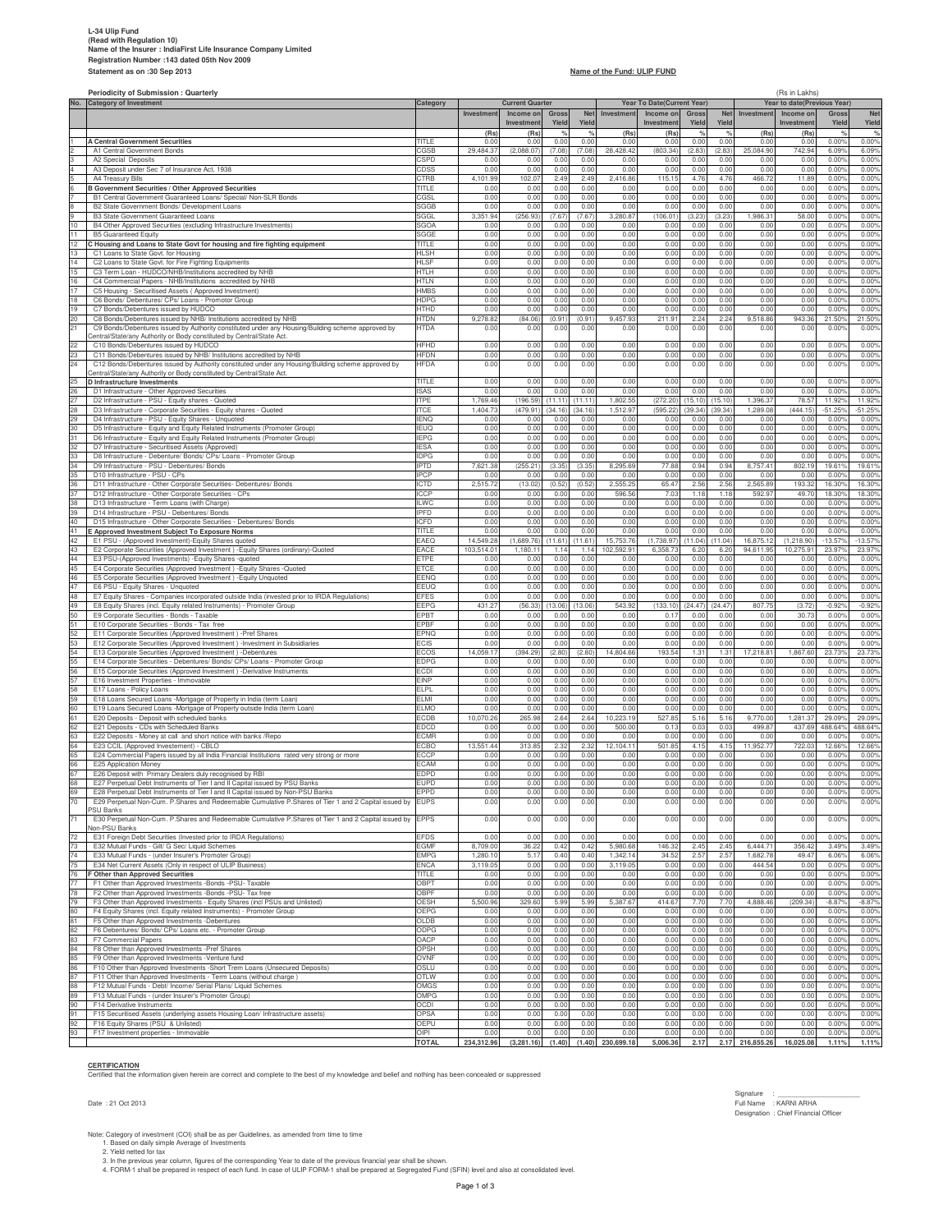# L-34 Ulip Fund<br>|Read with Regulation 10)<br>Reme of the Insurer : IndiaFirst Life Insurance Company Limited<br>Statement as on :30 Sep 2013<br>Statement as on :30 Sep 2013

| No.      | <b>Periodicity of Submission: Quarterly</b>                                                                                                                              |                            | <b>Current Quarter</b> |                    |                    |                    | Year To Date(Current Year) |                     |                   | (Rs in Lakhs)<br>Year to date(Previous Year) |                      |                     |                  |                     |
|----------|--------------------------------------------------------------------------------------------------------------------------------------------------------------------------|----------------------------|------------------------|--------------------|--------------------|--------------------|----------------------------|---------------------|-------------------|----------------------------------------------|----------------------|---------------------|------------------|---------------------|
|          | <b>Category of Investment</b>                                                                                                                                            | Category                   | Investment             | Income on          | Gross              | <b>Net</b>         | Investment                 | Income on           | Gross             | <b>Net</b>                                   | Investment           | Income on           | Gross            | Net                 |
|          |                                                                                                                                                                          |                            |                        | Investmen          | Yield              | Yield              |                            | Investment          | Yield             | Yield                                        |                      | Investment          | Yield            | Yield               |
|          |                                                                                                                                                                          |                            | (Rs                    | (Rs)               | $\%$               |                    | (Rs                        | (Rs)                | $\%$              | $\frac{Q}{C}$                                | (Rs)                 | (Rs)                |                  |                     |
|          | <b>A Central Government Securities</b>                                                                                                                                   | <b>TITLE</b>               | 0.0                    | 0.00               | 0.00               | 0.00               | 0.01                       | 0.00                | 0.00              | 0.00                                         | 0.00                 | 0.00                | 0.00%            | 0.00%               |
|          | A1 Central Government Bonds<br>A2 Special Deposits                                                                                                                       | CGSB<br>CSPD               | 29,484.3<br>0.00       | (2,088.07)<br>0.00 | (7.08)<br>0.00     | (7.08)<br>0.00     | 28,428.42<br>0.00          | (803.34)<br>0.00    | (2.83)<br>0.00    | (2.83)<br>0.00                               | 25,084.90<br>0.00    | 742.94<br>0.00      | 6.09%<br>0.00%   | 6.09%<br>0.00%      |
|          | A3 Deposit under Sec 7 of Insurance Act, 1938                                                                                                                            | CDSS                       | 0.00                   | 0.00               | 0.00               | 0.00               | 0.00                       | 0.00                | 0.00              | 0.00                                         | 0.00                 | 0.00                | 0.00%            | 0.00%               |
|          | A4 Treasury Bills                                                                                                                                                        | CTRB                       | 4,101.99               | 102.07             | 2.49               | 2.49               | 2,416.86                   | 115.15              | 4.76              | 4.76                                         | 466.72               | 11.89               | 0.00%            | 0.00%               |
|          | <b>B Government Securities / Other Approved Securities</b><br>B1 Central Government Guaranteed Loans/ Special/ Non-SLR Bonds                                             | TITLE<br>CGSL              | 0.00<br>0.00           | 0.00<br>0.00       | 0.00<br>0.00       | 0.00<br>0.00       | 0.00<br>0.00               | 0.00<br>0.00        | 0.00<br>0.00      | 0.00<br>0.00                                 | 0.00<br>0.00         | 0.00<br>0.00        | 0.00%<br>0.00%   | 0.00%<br>0.00%      |
| 8        | B2 State Government Bonds/ Development Loans                                                                                                                             | SGGB                       | 0.00                   | 0.00               | 0.00               | 0.00               | 0.00                       | 0.00                | 0.00              | 0.00                                         | 0.00                 | 0.00                | 0.00%            | 0.00%               |
| 9        | B3 State Government Guaranteed Loans                                                                                                                                     | SGGL                       | 3,351.9                | (256.93)           | (7.67)             | (7.67)             | 3,280.87                   | (106.01)            | (3.23)            | (3.23)                                       | 1,986.31             | 58.00               | 0.00%            | 0.00%               |
| 10       | B4 Other Approved Securities (excluding Infrastructure Investments)                                                                                                      | SGOA                       | 0.00                   | 0.00               | 0.00               | 0.00               | 0.00                       | 0.00                | 0.00              | 0.00                                         | 0.00                 | 0.00                | 0.00%            | 0.00%               |
| 11<br>12 | <b>B5 Guaranteed Equity</b><br>C Housing and Loans to State Govt for housing and fire fighting equipment                                                                 | SGGE<br>TITLE              | 0.00<br>0.00           | 0.00<br>0.00       | 0.00<br>0.00       | 0.00<br>0.00       | 0.00<br>0.00               | 0.00<br>0.00        | 0.00<br>0.00      | 0.00<br>0.00                                 | 0.00<br>0.00         | 0.00<br>0.00        | 0.00%<br>0.00%   | 0.00%<br>0.00%      |
| 13       | C1 Loans to State Govt. for Housing                                                                                                                                      | <b>HLSH</b>                | 0.00                   | 0.00               | 0.00               | 0.00               | 0.00                       | 0.00                | 0.00              | 0.00                                         | 0.00                 | 0.00                | 0.00%            | 0.00%               |
| 14       | C2 Loans to State Govt. for Fire Fighting Equipments                                                                                                                     | <b>HLSF</b>                | 0.00                   | 0.00               | 0.00               | 0.00               | 0.00                       | 0.00                | 0.00              | 0.00                                         | 0.00                 | 0.00                | 0.00%            | 0.00%               |
| 15<br>16 | C3 Term Loan - HUDCO/NHB/Institutions accredited by NHB<br>C4 Commercial Papers - NHB/Institutions accredited by NHB                                                     | HTLH<br><b>HTLN</b>        | 0.00<br>0.00           | 0.00<br>0.00       | 0.00<br>0.00       | 0.00<br>0.00       | 0.00<br>0.00               | 0.00<br>0.00        | 0.00<br>0.00      | 0.00<br>0.00                                 | 0.00<br>0.00         | 0.00<br>0.00        | 0.00%<br>0.00%   | 0.00%<br>0.00%      |
| 17       | C5 Housing - Securitised Assets (Approved Investment)                                                                                                                    | <b>HMBS</b>                | 0.00                   | 0.00               | 0.00               | 0.00               | 0.00                       | 0.00                | 0.00              | 0.00                                         | 0.00                 | 0.00                | 0.00%            | 0.00%               |
| 18       | C6 Bonds/ Debentures/ CPs/ Loans - Promotor Group                                                                                                                        | <b>HDPG</b>                | 0.00                   | 0.00               | 0.00               | 0.00               | 0.00                       | 0.00                | 0.00              | 0.00                                         | 0.00                 | 0.00                | 0.00%            | 0.00%               |
| 19       | C7 Bonds/Debentures issued by HUDCO                                                                                                                                      | HTHD                       | 0.00                   | 0.00               | 0.00               | 0.00               | 0.00                       | 0.00                | 0.00              | 0.00                                         | 0.00                 | 0.00                | 0.00%            | 0.00%               |
| 20<br>21 | C8 Bonds/Debentures issued by NHB/ Institutions accredited by NHB<br>C9 Bonds/Debentures issued by Authority constituted under any Housing/Building scheme approved by   | <b>HTDN</b><br><b>ACTH</b> | 9,278.8<br>0.0(        | (84.06)<br>0.00    | (0.91)<br>0.00     | (0.91)<br>0.00     | 9,457.93<br>0.00           | 211.91<br>0.00      | 2.24<br>0.00      | 2.24<br>0.00                                 | 9,518.86<br>0.00     | 943.36<br>0.00      | 21.50%<br>0.00%  | 21.50%<br>0.00%     |
|          | Central/State/any Authority or Body constituted by Central/State Act.                                                                                                    |                            |                        |                    |                    |                    |                            |                     |                   |                                              |                      |                     |                  |                     |
| 22       | C10 Bonds/Debentures issued by HUDCO                                                                                                                                     | <b>HFHD</b>                | 0.00                   | 0.00               | 0.00               | 0.00               | 0.00                       | 0.00                | 0.00              | 0.00                                         | 0.00                 | 0.00                | 0.00%            | 0.00%               |
| 23<br>24 | C11 Bonds/Debentures issued by NHB/ Institutions accredited by NHB<br>C12 Bonds/Debentures issued by Authority constituted under any Housing/Building scheme approved by | <b>HFDN</b><br><b>HFDA</b> | 0.00                   | 0.00               | 0.00<br>0.00       | 0.0(               | 0.00<br>0.00               | 0.00<br>0.00        | 0.0(              | 0.00<br>0.00                                 | 0.00<br>0.00         | 0.00<br>0.00        | 0.00%<br>0.00%   | 0.00%<br>0.00%      |
|          | Central/State/any Authority or Body constituted by Central/State Act.                                                                                                    |                            | 0.00                   | 0.00               |                    | 0.00               |                            |                     | 0.00              |                                              |                      |                     |                  |                     |
| 25       | D Infrastructure Investments                                                                                                                                             | TITLE                      | 0.0(                   | 0.0(               | 0.00               | 0.00               | 0.00                       | 0.00                | 0.00              | 0.00                                         | 0.00                 | 0.00                | 0.00%            | 0.00%               |
| 26       | D1 Infrastructure - Other Approved Securities                                                                                                                            | <b>ISAS</b>                | 0.0                    | 0.0                | 0.00               | 0.0                | 0.00                       | 0.00                | 0.0               | 0.00                                         | 0.00                 | 0.00                | 0.009            | 0.00%               |
| 27<br>28 | D2 Infrastructure - PSU - Equity shares - Quoted<br>D3 Infrastructure - Corporate Securities - Equity shares - Quoted                                                    | <b>ITPE</b><br><b>ITCE</b> | 1,769.4<br>1,404.7     | (196.59<br>(479.91 | (11.11)<br>(34.16) | (11.11)<br>(34.16) | 1,802.55<br>1,512.97       | (272.20<br>(595.22) | (15.10)<br>(39.34 | 15.10<br>39.34                               | 1,396.3<br>1,289.08  | 78.5<br>444.15      | 11.92%<br>51.25% | 11.92%<br>$-51.25%$ |
| 29       | D4 Infrastructure - PSU - Equity Shares - Unquoted                                                                                                                       | <b>IENQ</b>                | 0.0                    | 0.00               | 0.01               | 0.00               | 0.00                       | 0.00                | 0.0               | 0.00                                         | 0.00                 | 0.00                | 0.00             | 0.00%               |
| 30       | D5 Infrastructure - Equity and Equity Related Instruments (Promoter Group)                                                                                               | <b>IEUQ</b>                | 0.0                    | 0.00               | 0.00               | 0.00               | 0.00                       | 0.00                | 0.0               | 0.00                                         | 0.00                 | 0.00                | 0.009            | 0.00%               |
| 31<br>32 | D6 Infrastructure - Equity and Equity Related Instruments (Promoter Group)<br>D7 Infrastructure - Securitised Assets (Approved)                                          | <b>IEPG</b><br><b>IFSA</b> | 0.0<br>0.0             | 0.00<br>0.00       | 0.00<br>0.00       | 0.00<br>0.00       | 0.00<br>0.00               | 0.00<br>0.00        | 0.00<br>0.00      | 0.00<br>0.00                                 | 0.00<br>0.00         | 0.00<br>0.00        | 0.00<br>0.009    | 0.00%<br>0.00%      |
| 33       | D8 Infrastructure - Debenture/ Bonds/ CPs/ Loans - Promoter Group                                                                                                        | <b>IDPG</b>                | 0.0                    | 0.0                | 0.00               | 0.00               | 0.00                       | 0.00                | 0.00              | 0.00                                         | 0.00                 | 0.00                | 0.009            | 0.00%               |
| 34       | D9 Infrastructure - PSU - Debentures/ Bonds                                                                                                                              | <b>IPTD</b>                | 7,621.3                | 255.21             | (3.35)             | (3.35)             | 8,295.69                   | 77.88               | 0.94              | 0.94                                         | 8,757.41             | 802.19              | 19.619           | 19.61%              |
| 35       | D10 Infrastructure - PSU - CPs                                                                                                                                           | <b>IPCP</b>                | 0.0                    | 0.00               | 0.00               | 0.00               | 0.00                       | 0.00                | 0.00              | 0.00                                         | 0.00                 | 0.00                | 0.00%            | 0.00%               |
| 36<br>37 | D11 Infrastructure - Other Corporate Securities- Debentures/ Bonds<br>D12 Infrastructure - Other Corporate Securities - CPs                                              | <b>ICTD</b><br><b>ICCP</b> | 2,515.7<br>0.0         | (13.02)<br>0.00    | (0.52)<br>0.00     | (0.52)<br>0.00     | 2,555.25<br>596.56         | 65.47<br>7.03       | 2.56<br>1.18      | 2.56<br>1.18                                 | 2,565.89<br>592.9    | 193.3<br>49.7       | 16.30%<br>18.30% | 16.30%<br>18.30%    |
| 38       | D13 Infrastructure - Term Loans (with Charge)                                                                                                                            | <b>ILWC</b>                | 0.0                    | 0.0(               | 0.00               | 0.00               | 0.00                       | 0.00                | 0.00              | 0.00                                         | 0.00                 | 0.00                | 0.00%            | 0.00%               |
| 39       | D14 Infrastructure - PSU - Debentures/ Bonds                                                                                                                             | <b>IPFD</b>                | 0.0                    | 0.00               | 0.00               | 0.00               | 0.00                       | 0.00                | 0.00              | 0.00                                         | 0.00                 | 0.00                | 0.00%            | 0.00%               |
| 40       | D15 Infrastructure - Other Corporate Securities - Debentures/ Bonds                                                                                                      | ICFD                       | 0.0                    | 0.0                | 0.00               | 0.00               | 0.00                       | 0.00                | 0.00              | 0.00                                         | 0.00                 | 0.00                | 0.009            | 0.00%               |
| 41<br>42 | E Approved Investment Subject To Exposure Norms<br>E1 PSU - (Approved Investment)-Equity Shares quoted                                                                   | TITLE<br>EAEQ              | 0.0<br>14,549.2        | 0.0<br>(1,689.76)  | 0.00<br>(11.61)    | 0.00<br>11.61      | 0.00<br>15,753.76          | 0.00<br>(1,738.97)  | 0.00<br>11.04     | 0.00<br>11.04)                               | 0.00<br>16,875.12    | 0.00<br>(1, 218.90) | 0.009<br>13.57%  | 0.00%<br>13.579     |
| 43       | E2 Corporate Securities (Approved Investment) -Equity Shares (ordinary)-Quoted                                                                                           | EACE                       | 103,514.0              | 1,180.1            | 1.14               | 1.14               | 102,592.9                  | 6,358.73            | 6.2               | 6.20                                         | 94,611.95            | 10,275.9            | 23.97            | 23.979              |
| 44       | E3 PSU-(Approved Investments) - Equity Shares -quoted                                                                                                                    | ETPE                       | 0.0                    | 0.0                | 0.00               | 0.0                | 0.00                       | 0.00                | 0.00              | 0.00                                         | 0.00                 | 0.00                | 0.00             | 0.009               |
| 45<br>46 | E4 Corporate Securities (Approved Investment) - Equity Shares - Quoted<br>E5 Corporate Securities (Approved Investment) - Equity Unquoted                                | ETCE<br>EENQ               | 0.0<br>0.0(            | 0.0(<br>0.00       | 0.00<br>0.00       | 0.00<br>0.00       | 0.00<br>0.00               | 0.00<br>0.00        | 0.00<br>0.00      | 0.00<br>0.00                                 | 0.00<br>0.00         | 0.00<br>0.00        | 0.00<br>0.00     | 0.00%<br>0.00%      |
| 47       | E6 PSU - Equity Shares - Unquoted                                                                                                                                        | EEUQ                       | 0.0                    | 0.00               | 0.00               | 0.0                | 0.00                       | 0.00                | 0.00              | 0.00                                         | 0.00                 | 0.00                | 0.009            | 0.00%               |
| 48       | E7 Equity Shares - Companies incorporated outside India (invested prior to IRDA Regulations)                                                                             | <b>EFES</b>                | 0.0                    | 0.0                | 0.00               | 0.00               | 0.00                       | 0.00                | 0.00              | 0.00                                         | 0.00                 | 0.00                | 0.009            | 0.00%               |
| 49       | E8 Equity Shares (incl. Equity related Instruments) - Promoter Group                                                                                                     | <b>EEPG</b>                | 431.2                  | (56.33)            | (13.06)            | 13.06              | 543.92                     | (133.10)            | (24.4)            | 24.47                                        | 807.75               | (3.72)              | $-0.929$         | $-0.92%$            |
| 50<br>51 | E9 Corporate Securities - Bonds - Taxable<br>E10 Corporate Securities - Bonds - Tax free                                                                                 | EPBT<br>EPBF               | 0.0<br>0.0             | 0.0(<br>0.0        | 0.00<br>0.00       | 0.00<br>0.00       | 0.00<br>0.00               | 0.17<br>0.00        | 0.00<br>0.0       | 0.00<br>0.00                                 | 0.00<br>0.00         | 30.73<br>0.00       | 0.00%<br>0.009   | 0.00%<br>0.00%      |
| 52       | E11 Corporate Securities (Approved Investment) -Pref Shares                                                                                                              | EPNQ                       | 0.0                    | 0.0(               | 0.00               | 0.00               | 0.00                       | 0.00                | 0.00              | 0.00                                         | 0.00                 | 0.00                | 0.00%            | 0.00%               |
| 53       | E12 Corporate Securities (Approved Investment) -Investment in Subsidiaries                                                                                               | <b>FCIS</b>                | 0.0                    | 0.0(               | 0.00               | 0.00               | 0.00                       | 0.00                | 0.00              | 0.00                                         | 0.00                 | 0.00                | 0.00%            | 0.00%               |
| 54<br>55 | E13 Corporate Securities (Approved Investment) -Debentures<br>E14 Corporate Securities - Debentures/ Bonds/ CPs/ Loans - Promoter Group                                  | <b>ECOS</b><br><b>EDPG</b> | 14,059.1<br>0.0        | 394.29<br>0.00     | (2.80)<br>0.00     | (2.80)<br>0.00     | 14,804.66<br>0.00          | 193.54<br>0.00      | 1.31<br>0.00      | 1.31<br>0.00                                 | 17,218.81<br>0.00    | ,867.60<br>0.00     | 23.73%<br>0.00   | 23.73%<br>0.00%     |
| 56       | E15 Corporate Securities (Approved Investment) -Derivative Instruments                                                                                                   | <b>ECDI</b>                | 0.0                    | 0.0(               | 0.00               | 0.00               | 0.00                       | 0.00                | 0.00              | 0.00                                         | 0.00                 | 0.00                | 0.00             | 0.00%               |
| 57       | E16 Investment Properties - Immovable                                                                                                                                    | <b>EINP</b>                | 0.0(                   | 0.00               | 0.00               | 0.00               | 0.00                       | 0.00                | 0.00              | 0.00                                         | 0.00                 | 0.00                | 0.00%            | 0.00%               |
| 58       | E17 Loans - Policy Loans                                                                                                                                                 | FI <sub>PI</sub>           | 0.0                    | 0.00               | 0.00               | 0.00               | 0.00                       | 0.00                | 0.00              | 0.00                                         | 0.00                 | 0.00                | 0.009            | 0.00%               |
| 59<br>60 | E18 Loans Secured Loans -Mortgage of Property in India (term Loan)<br>E19 Loans Secured Loans -Mortgage of Property outside India (term Loan)                            | FI MI<br><b>ELMO</b>       | 0.0<br>0.0             | 0.0(<br>0.00       | 0.00<br>0.00       | 0.00<br>0.00       | 0.00<br>0.00               | 0.00<br>0.00        | 0.00<br>0.00      | 0.00<br>0.00                                 | 0.00<br>0.00         | 0.00<br>0.00        | 0.00%<br>0.00%   | 0.00%<br>0.00%      |
| 61       | E20 Deposits - Deposit with scheduled banks                                                                                                                              | <b>ECDB</b>                | 10,070.2               | 265.98             | 2.64               | 2.64               | 10,223.19                  | 527.85              | 5.16              | 5.16                                         | 9,770.00             | 1,281.3             | 29.09%           | 29.09%              |
| 62       | E21 Deposits - CDs with Scheduled Banks                                                                                                                                  | <b>EDCD</b>                | 0.0                    | 0.0                | 0.00               | 0.00               | 500.00                     | 0.13                | 0.03              | 0.03                                         | 499.8                | 437.69              | 488.64%          | 488.64%             |
| 63       | E22 Deposits - Money at call and short notice with banks /Repo<br>E23 CCIL (Approved Investement) - CBLO                                                                 | <b>ECMR</b>                | 0.0                    | 0.0(               | 0.00               | 0.00               | 0.00                       | 0.00                | 0.00              | 0.00                                         | 0.00                 | 0.00                | 0.00             | 0.00%               |
| 64<br>65 | E24 Commercial Papers issued by all India Financial Institutions rated very strong or more                                                                               | ECBO<br><b>FCCP</b>        | 13,551.4<br>0.0        | 313.85<br>0.0      | 2.32<br>0.00       | 2.32<br>0.00       | 12,104.1<br>0.00           | 501.85<br>0.00      | 4.15<br>0.00      | 4.15<br>0.00                                 | 11,952.7<br>0.00     | 722.0<br>0.00       | 12.669<br>0.00   | 12.66%<br>0.00%     |
| 66       | E25 Application Money                                                                                                                                                    | <b>ECAM</b>                | 0.0                    | 0.00               | 0.00               | 0.00               | 0.00                       | 0.00                | 0.00              | 0.00                                         | 0.00                 | 0.00                | 0.009            | 0.00%               |
| 67       | E26 Deposit with Primary Dealers duly recognised by RBI                                                                                                                  | <b>FDPD</b>                | 0.0                    | 0.00               | 0.00               | 0.00               | 0.00                       | 0.00                | 0.00              | 0.00                                         | 0.00                 | 0.00                | 0.009            | 0.00%               |
| 68<br>69 | E27 Perpetual Debt Instruments of Tier I and II Capital issued by PSU Banks<br>E28 Perpetual Debt Instruments of Tier I and II Capital issued by Non-PSU Banks           | <b>FUPD</b><br>EPPD        | 0.00<br>0.00           | 0.00<br>0.00       | 0.00<br>0.00       | 0.00<br>0.00       | 0.00<br>0.00               | 0.00<br>0.00        | 0.00<br>0.00      | 0.00<br>0.00                                 | 0.00<br>0.00         | 0.00<br>0.00        | 0.00%<br>0.00%   | 0.00%<br>0.00%      |
|          | E29 Perpetual Non-Cum. P.Shares and Redeemable Cumulative P.Shares of Tier 1 and 2 Capital issued by                                                                     | <b>EUPS</b>                | 0.00                   | 0.00               | 0.00               | 0.00               | 0.00                       | 0.00                | 0.00              | 0.00                                         | 0.00                 | 0.00                | 0.00%            | 0.00%               |
|          | <b>PSU Banks</b>                                                                                                                                                         |                            |                        |                    |                    |                    |                            |                     |                   |                                              |                      |                     |                  |                     |
| 71       | E30 Perpetual Non-Cum. P.Shares and Redeemable Cumulative P.Shares of Tier 1 and 2 Capital issued by<br>Non-PSU Banks                                                    | <b>EPPS</b>                | 0.00                   | 0.00               | 0.00               | 0.00               | 0.00                       | 0.00                | 0.00              | 0.00                                         | 0.00                 | 0.00                | 0.00%            | 0.00%               |
| 72       | E31 Foreign Debt Securities (Invested prior to IRDA Regulations)                                                                                                         | <b>EFDS</b>                | 0.00                   | 0.00               | 0.00               | 0.00               | 0.00                       | 0.00                | 0.00              | 0.00                                         | 0.00                 | 0.00                | 0.00%            | 0.00%               |
| 73<br>74 | E32 Mutual Funds - Gilt/ G Sec/ Liquid Schemes<br>E33 Mutual Funds - (under Insurer's Promoter Group)                                                                    | <b>EGMF</b><br><b>EMPG</b> | 8,709.00<br>1,280.1    | 36.22              | 0.42<br>0.40       | 0.42<br>0.40       | 5,980.68<br>1,342.14       | 146.32<br>34.52     | 2.45              | 2.45<br>2.57                                 | 6,444.71<br>1,682.78 | 356.42<br>49.47     | 3.499<br>6.06%   | 3.49%<br>6.069      |
| 75       | E34 Net Current Assets (Only in respect of ULIP Business)                                                                                                                | ENCA                       | 3,119.0                | 5.17<br>0.00       | 0.00               | 0.00               | 3,119.0                    | 0.00                | 2.57<br>0.00      | 0.00                                         | 444.54               | 0.00                | 0.00%            | 0.00%               |
| 76       | F Other than Approved Securities                                                                                                                                         | TITLE                      | 0.0(                   | 0.00               | 0.00               | 0.00               | 0.01                       | 0.00                | 0.00              | 0.00                                         | 0.00                 | 0.00                | 0.00%            | 0.00%               |
| 77       | F1 Other than Approved Investments -Bonds -PSU- Taxable                                                                                                                  | OBPT                       | 0.0(                   | 0.00               | 0.00               | 0.00               | 0.00                       | 0.00                | 0.0(              | 0.00                                         | 0.00                 | 0.00                | 0.00%            | 0.00%               |
| 78<br>79 | F2 Other than Approved Investments -Bonds -PSU- Tax free<br>F3 Other than Approved Investments - Equity Shares (incl PSUs and Unlisted)                                  | OBPF<br><b>DESH</b>        | 0.00<br>5,500.96       | 0.00<br>329.60     | 0.00<br>5.99       | 0.00<br>5.99       | 0.01<br>5,387.6            | 0.00<br>414.67      | 0.00<br>7.70      | 0.00<br>7.70                                 | 0.00<br>4,888.46     | 0.00<br>(209.34)    | 0.00%<br>$-8.87$ | 0.00%<br>$-8.87%$   |
| 80       | F4 Equity Shares (incl. Equity related Instruments) - Promoter Group                                                                                                     | OEPG                       | 0.0(                   | 0.00               | 0.00               | 0.00               | 0.00                       | 0.00                | 0.00              | 0.00                                         | 0.00                 | 0.00                | 0.00%            | 0.00%               |
| 81       | F5 Other than Approved Investments -Debentures                                                                                                                           | OLDB                       | 0.0(                   | 0.00               | 0.00               | 0.00               | 0.01                       | 0.00                | 0.00              | 0.00                                         | 0.00                 | 0.00                | 0.00%            | 0.00%               |
| 82<br>83 | F6 Debentures/ Bonds/ CPs/ Loans etc. - Promoter Group<br>F7 Commercial Papers                                                                                           | ODPG<br>OACP               | 0.00<br>0.00           | 0.00<br>0.00       | 0.00<br>0.00       | 0.00<br>0.00       | 0.00<br>0.01               | 0.00<br>0.00        | 0.00<br>0.00      | 0.00<br>0.00                                 | 0.00<br>0.00         | 0.00<br>0.00        | 0.00%<br>0.00%   | 0.00%<br>0.00%      |
| 84       | F8 Other than Approved Investments -Pref Shares                                                                                                                          | OPSH                       | 0.00                   | 0.00               | 0.00               | 0.00               | 0.01                       | 0.00                | 0.00              | 0.00                                         | 0.00                 | 0.00                | 0.00%            | 0.00%               |
| 85       | F9 Other than Approved Investments -Venture fund                                                                                                                         | OVNF                       | 0.00                   | 0.00               | 0.00               | 0.00               | 0.00                       | 0.00                | 0.00              | 0.00                                         | 0.00                 | 0.00                | 0.00%            | 0.00%               |
| 86       | F10 Other than Approved Investments -Short Trem Loans (Unsecured Deposits)                                                                                               | OSLU                       | 0.00                   | 0.00               | 0.00               | 0.00               | 0.00                       | 0.00                | 0.00              | 0.00                                         | 0.00                 | 0.00                | 0.00%            | 0.00%               |
| 87<br>88 | F11 Other than Approved Investments - Term Loans (without charge)<br>F12 Mutual Funds - Debt/ Income/ Serial Plans/ Liquid Schemes                                       | OTLW<br>OMGS               | 0.00<br>0.00           | 0.00<br>0.00       | 0.00<br>0.00       | 0.00<br>0.00       | 0.00<br>0.01               | 0.00<br>0.00        | 0.00<br>0.00      | 0.00<br>0.00                                 | 0.00<br>0.00         | 0.00<br>0.00        | 0.00%<br>0.00%   | 0.00%<br>0.00%      |
| 89       | F13 Mutual Funds - (under Insurer's Promoter Group)                                                                                                                      | OMPG                       | 0.00                   | 0.00               | 0.00               | 0.00               | 0.00                       | 0.00                | 0.00              | 0.00                                         | 0.00                 | 0.00                | 0.00%            | 0.00%               |
| 90       | F14 Derivative Instruments                                                                                                                                               | OCDI                       | 0.00                   | 0.00               | 0.00               | 0.00               | 0.00                       | 0.00                | 0.00              | 0.00                                         | 0.00                 | 0.00                | 0.00%            | 0.00%               |
| 91<br>92 | F15 Securitised Assets (underlying assets Housing Loan/ Infrastructure assets)<br>F16 Equity Shares (PSU & Unlisted)                                                     | OPSA<br>OEPU               | 0.00<br>0.00           | 0.00<br>0.00       | 0.00<br>0.00       | 0.00<br>0.00       | 0.00<br>0.00               | 0.00<br>0.00        | 0.00<br>0.00      | 0.00<br>0.00                                 | 0.00<br>0.00         | 0.00<br>0.00        | 0.00%<br>0.00%   | 0.00%<br>0.00%      |
| 93       | F17 Investment properties - Immovable                                                                                                                                    | OIPI                       | 0.00                   | 0.00               | 0.00               | 0.00               | 0.00                       | 0.00                | 0.00              | 0.00                                         | 0.00                 | 0.00                | 0.00%            | 0.00%               |
|          |                                                                                                                                                                          | <b>TOTAL</b>               | 234,312.96             | (3,281.16)         | (1.40)             | (1.40)             | 230,699.18                 | 5,006.36            | 2.17              |                                              | 2.17 216,855.26      | 16,025.08           | 1.11%            | 1.11%               |

**CERTIFICATION** Certified that the information given herein are correct and complete to the best of my knowledge and belief and nothing has been concealed or suppressed

Note: Category of investment (COI) shall be as per Guidelines, as amended from time to time<br>1. Based on daily simple Average of Investments<br>2. Yield netted for tax<br>3. In the previous year column, figures of the correspondi

Signature : \_\_\_\_\_\_\_\_\_\_\_\_\_\_\_\_\_\_\_\_\_\_ Date : 21 Oct 2013 Full Name : KARNI ARHA Designation : Chief Financial Officer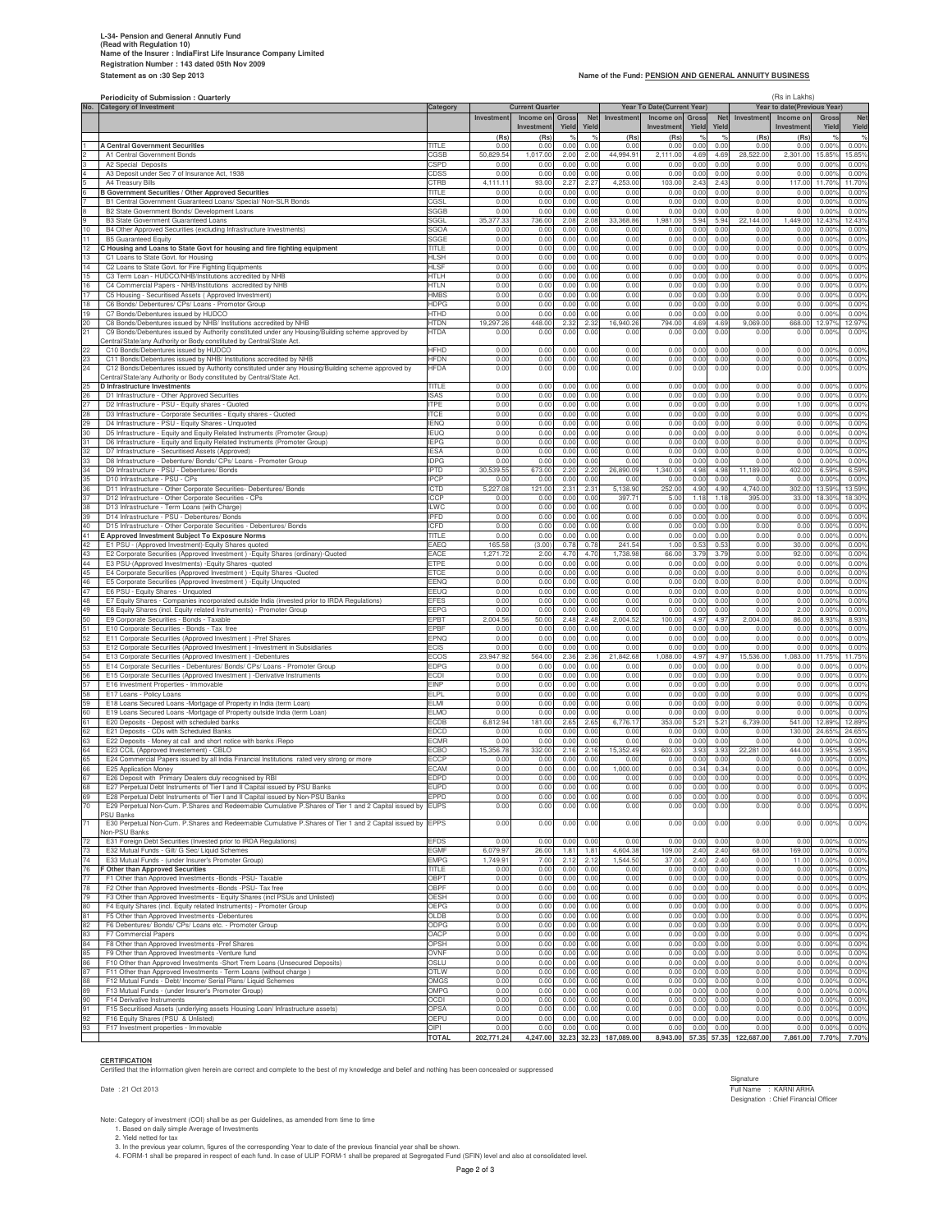### **L-34- Pension and General Annutiy Fund (Read with Regulation 10) Name of the Insurer : IndiaFirst Life Insurance Company Limited Registration Number : 143 dated 05th Nov 2009**

### Name of the Fund: **PENSION AND GENERAL ANNUITY BUSINESS**

|          | Periodicity of Submission : Quarterly                                                                                                                                                   |                            |                     |                                     |                     |              | (Rs in Lakhs)        |                                         |                      |                      |                   |                                          |                                  |                            |
|----------|-----------------------------------------------------------------------------------------------------------------------------------------------------------------------------------------|----------------------------|---------------------|-------------------------------------|---------------------|--------------|----------------------|-----------------------------------------|----------------------|----------------------|-------------------|------------------------------------------|----------------------------------|----------------------------|
|          | No. Category of Investment                                                                                                                                                              | Category                   | Investment          | <b>Current Quarter</b><br>Income on | <b>Gross</b>        | <b>Net</b>   | Investment           | Year To Date(Current Year)<br>Income on | Gross                | <b>Net</b>           | Investment        | Year to date(Previous Year)<br>Income on | Gross                            | <b>Net</b>                 |
|          |                                                                                                                                                                                         |                            |                     | Investmen                           | Yield               | Yield        |                      | Investmen                               | Yield                | Yield                |                   | Investmen                                | Yield                            | Yield                      |
|          | <b>A Central Government Securities</b>                                                                                                                                                  | TITI F                     | (Rs)<br>0.0         | (Rs)<br>0.0                         | $Q_{\rm A}$<br>0.00 | %<br>0.00    | (Rs)<br>0.00         | (Rs<br>0.00                             | 0.00                 | $O_{\alpha}$<br>0.00 | (Rs)<br>0.01      | (Rs)<br>0.0                              | 0.00%                            | O/<br>0.00%                |
|          | A1 Central Government Bonds                                                                                                                                                             | CGSB                       | 50,829.5            | 1,017.0                             | 2.00                | 2.00         | 44,994.91            | 2,111.00                                | 4.69                 | 4.69                 | 28,522.0          | 2,301.00                                 | 15.85                            | 15.85                      |
|          | A2 Special Deposits<br>A3 Deposit under Sec 7 of Insurance Act, 1938                                                                                                                    | CSPD<br>CDSS               | 0.00<br>0.00        | 0.01<br>0.00                        | 0.00<br>0.00        | 0.00<br>0.00 | 0.00<br>0.00         | 0.00<br>0.00                            | 0.00<br>0.00         | 0.00<br>0.00         | 0.00<br>0.00      | 0.0(<br>0.0(                             | 0.009<br>0.009                   | 0.00%<br>0.00%             |
|          | A4 Treasury Bills                                                                                                                                                                       | CTRB                       | 4,111.1             | 93.0                                | 2.27                | 2.27         | 4,253.00             | 103.00                                  | 2.43                 | 2.43                 | 0.00              | 117.0                                    | 11.709                           | 11.70%                     |
|          | B Government Securities / Other Approved Securities<br>B1 Central Government Guaranteed Loans/ Special/ Non-SLR Bonds                                                                   | TITLE<br>CGSL              | 0.0<br>0.01         | 0.0<br>0.0                          | 0.00<br>0.00        | 0.00<br>0.00 | 0.00<br>0.00         | 0.00<br>0.00                            | 0.00<br>0.00         | 0.00<br>0.00         | 0.00<br>0.01      | 0.0<br>0.0                               | 0.00<br>0.00                     | 0.00<br>0.00               |
|          | B2 State Government Bonds/ Development Loans                                                                                                                                            | SGGB                       | 0.01                | 0.01                                | 0.00                | 0.00         | 0.00                 | 0.00                                    | 0.00                 | 0.00                 | 0.00              | 0.0(                                     | 0.00 <sup>6</sup>                | 0.00%                      |
| 10       | B3 State Government Guaranteed Loans<br>B4 Other Approved Securities (excluding Infrastructure Investments)                                                                             | SGGL<br>SGOA               | 35,377.3<br>0.01    | 736.0<br>0.00                       | 2.08<br>0.00        | 2.08<br>0.00 | 33,368.86<br>0.00    | 1,981.00<br>0.00                        | 5.94<br>0.00         | 5.94<br>0.00         | 22,144.00<br>0.00 | 1,449.00<br>0.0(                         | 12.439<br>0.009                  | 12.43%<br>0.00%            |
| 11       | <b>B5 Guaranteed Equity</b>                                                                                                                                                             | SGGE                       | 0.00                | 0.0                                 | 0.00                | 0.00         | 0.00                 | 0.00                                    | 0.00                 | 0.00                 | 0.00              | 0.0(                                     | 0.00                             | 0.00%                      |
| 12<br>13 | C Housing and Loans to State Govt for housing and fire fighting equipment<br>C1 Loans to State Govt. for Housing                                                                        | TITLE<br>HLSH              | 0.01<br>0.01        | 0.0<br>0.0                          | 0.00<br>0.00        | 0.00<br>0.00 | 0.00<br>0.00         | 0.00<br>0.00                            | 0.00<br>0.00         | 0.00<br>0.00         | 0.01<br>0.00      | 0.0<br>0.0(                              | 0.00<br>0.00 <sup>6</sup>        | 0.00%<br>0.00%             |
| 14       | C2 Loans to State Govt. for Fire Fighting Equipments                                                                                                                                    | <b>HLSF</b>                | 0.00                | 0.01                                | 0.00                | 0.00         | 0.00                 | 0.00                                    | 0.00                 | 0.00                 | 0.00              | 0.0(                                     | 0.009                            | 0.00%                      |
| 15<br>16 | C3 Term Loan - HUDCO/NHB/Institutions accredited by NHB<br>C4 Commercial Papers - NHB/Institutions accredited by NHB                                                                    | HTLH<br>HTLN               | 0.00<br>0.00        | 0.00<br>0.01                        | 0.00<br>0.00        | 0.00<br>0.00 | 0.00<br>0.00         | 0.00<br>0.00                            | 0.00<br>0.00         | 0.00<br>0.00         | 0.00<br>0.00      | 0.00<br>0.0(                             | 0.009<br>0.009                   | 0.00%<br>0.00%             |
| 17       | C5 Housing - Securitised Assets (Approved Investment)                                                                                                                                   | <b>HMBS</b>                | 0.00                | 0.0                                 | 0.00                | 0.00         | 0.00                 | 0.00                                    | 0.00                 | 0.00                 | 0.00              | 0.00                                     | 0.00                             | 0.00%                      |
| 18<br>19 | C6 Bonds/ Debentures/ CPs/ Loans - Promotor Group<br>C7 Bonds/Debentures issued by HUDCO                                                                                                | HDPG<br>HTHD               | 0.01<br>0.01        | 0.0<br>0.0                          | 0.00<br>0.00        | 0.00<br>0.00 | 0.00<br>0.00         | 0.00<br>0.00                            | 0.00<br>0.00         | 0.00<br>0.00         | 0.01<br>0.01      | 0.0<br>0.0(                              | 0.00<br>0.00 <sup>6</sup>        | 0.00%<br>0.00%             |
| 20       | C8 Bonds/Debentures issued by NHB/ Institutions accredited by NHB                                                                                                                       | HTDN                       | 19,297.2            | 448.0                               | 2.32                | 2.32         | 16,940.26            | 794.00                                  | 4.69                 | 4.69                 | 9,069.00          | 668.0                                    | 12.97                            | 12.97%                     |
| 21       | C9 Bonds/Debentures issued by Authority constituted under any Housing/Building scheme approved by<br>Central/State/any Authority or Body constituted by Central/State Act.              | HTDA                       | 0.00                | 0.00                                | 0.00                | 0.00         | 0.00                 | 0.00                                    | 0.00                 | 0.00                 | 0.01              | 0.0(                                     | 0.00%                            | 0.00%                      |
| 22<br>23 | C10 Bonds/Debentures issued by HUDCO<br>C11 Bonds/Debentures issued by NHB/ Institutions accredited by NHB                                                                              | HFHD<br>HFDN               | 0.01<br>0.00        | 0.01<br>0.01                        | 0.00<br>0.00        | 0.0<br>0.00  | 0.00<br>0.00         | 0.00<br>0.00                            | 0.00<br>0.00         | 0.00<br>0.00         | 0.00<br>0.00      | 0.0(<br>0.00                             | 0.009<br>0.009                   | 0.009<br>0.009             |
| 24       | C12 Bonds/Debentures issued by Authority constituted under any Housing/Building scheme approved by                                                                                      | <b>HFDA</b>                | 0.00                | 0.00                                | 0.00                | 0.0          | 0.00                 | 0.00                                    | 0.00                 | 0.00                 | 0.00              | 0.0(                                     | $0.00^{\circ}$                   | 0.00%                      |
| 25       | Central/State/any Authority or Body constituted by Central/State Act<br>D Infrastructure Investments                                                                                    | TITLE                      | 0.00                | 0.00                                | 0.00                | 0.00         | 0.00                 | 0.00                                    | 0.00                 | 0.00                 | 0.00              | 0.00                                     | 0.00%                            | 0.00%                      |
| 26       | D1 Infrastructure - Other Approved Securities                                                                                                                                           | ISAS                       | 0.00                | 0.00                                | 0.00                | 0.00         | 0.00                 | 0.00                                    | 0.0(                 | 0.00                 | 0.00              | 0.00                                     | 0.00                             | 0.00%                      |
| 27<br>28 | D2 Infrastructure - PSU - Equity shares - Quoted<br>D3 Infrastructure - Corporate Securities - Equity shares - Quoted                                                                   | <b>ITPE</b><br><b>ITCE</b> | 0.00<br>0.00        | 0.00<br>0.00                        | 0.00<br>0.00        | 0.00<br>0.00 | 0.00<br>0.00         | 0.00<br>0.00                            | 0.0(<br>0.0(         | 0.00<br>0.00         | 0.00<br>0.00      | 1.00<br>0.00                             | 0.00%<br>0.00%                   | 0.00%<br>0.00%             |
| 29       | D4 Infrastructure - PSU - Equity Shares - Unquoted                                                                                                                                      | IENQ                       | 0.00                | 0.00                                | 0.00                | 0.00         | 0.00                 | 0.00                                    | 0.00                 | 0.00                 | 0.00              | 0.0(                                     | 0.00                             | 0.00%                      |
| 30<br>31 | D5 Infrastructure - Equity and Equity Related Instruments (Promoter Group)<br>D6 Infrastructure - Equity and Equity Related Instruments (Promoter Group)                                | IEUQ<br><b>IEPG</b>        | 0.00<br>0.01        | 0.01<br>0.01                        | 0.00<br>0.0(        | 0.00<br>0.00 | 0.00<br>0.00         | 0.00<br>0.00                            | 0.00<br>0.0          | 0.00<br>0.00         | 0.00<br>0.00      | 0.0<br>0.0                               | 0.00<br>0.00                     | 0.009<br>0.009             |
| 32       | D7 Infrastructure - Securitised Assets (Approved)                                                                                                                                       | <b>IESA</b>                | 0.00                | 0.00                                | 0.00                | 0.00         | 0.00                 | 0.00                                    | 0.0(                 | 0.00                 | 0.00              | 0.0(                                     | 0.00                             | 0.00%                      |
| 33<br>34 | D8 Infrastructure - Debenture/ Bonds/ CPs/ Loans - Promoter Group<br>D9 Infrastructure - PSU - Debentures/ Bonds                                                                        | <b>IDPG</b><br>IPTD        | 0.00<br>30,539.5    | 0.00<br>673.00                      | 0.00<br>2.20        | 0.00<br>2.20 | 0.00<br>26,890.09    | 0.00<br>1,340.00                        | 0.0(<br>4.98         | 0.00<br>4.98         | 0.00<br>11,189.00 | 0.00<br>402.00                           | 0.00%<br>6.599                   | 0.00%<br>6.59%             |
| 35       | D10 Infrastructure - PSU - CPs                                                                                                                                                          | PCP                        | 0.00                | 0.00                                | 0.00                | 0.00         | 0.00                 | 0.00                                    | 0.00                 | 0.00                 | 0.00              | 0.0                                      | 0.009                            | 0.00                       |
| 36<br>37 | D11 Infrastructure - Other Corporate Securities- Debentures/ Bonds<br>D12 Infrastructure - Other Corporate Securities - CPs                                                             | <b>CTD</b><br>ICCF         | 5,227.0<br>0.01     | 121.0<br>0.00                       | 2.31<br>0.00        | 2.31<br>0.00 | 5,138.90<br>397.71   | 252.00<br>5.00                          | 4.90<br>1.18         | 4.90<br>1.18         | 4,740.0<br>395.0  | 302.0<br>33.0                            | 13.59<br>18.30                   | 13.59%<br>18.30%           |
| 38       | D13 Infrastructure - Term Loans (with Charge)                                                                                                                                           | <b>ILWC</b>                | 0.00                | 0.00                                | 0.00                | 0.00         | 0.00                 | 0.00                                    | 0.0(                 | 0.00                 | 0.00              | 0.0(                                     | 0.009                            | 0.00                       |
| 39<br>40 | D14 Infrastructure - PSU - Debentures/ Bonds<br>D15 Infrastructure - Other Corporate Securities - Debentures/ Bonds                                                                     | IPFD<br>ICFD               | 0.00<br>0.00        | 0.00<br>0.00                        | 0.00<br>0.00        | 0.00<br>0.00 | 0.00<br>0.00         | 0.00<br>0.00                            | 0.0(<br>0.00         | 0.00<br>0.00         | 0.00<br>0.00      | 0.0(<br>0.0(                             | 0.00%<br>0.00                    | 0.00<br>0.00%              |
| 41       | E Approved Investment Subject To Exposure Norms                                                                                                                                         | TITLE                      | 0.01                | 0.00                                | 0.00                | 0.00         | 0.00                 | 0.00                                    | 0.00                 | 0.00                 | 0.00              | 0.00                                     | 0.00                             | 0.00%                      |
| 42<br>43 | E1 PSU - (Approved Investment)-Equity Shares quoted<br>E2 Corporate Securities (Approved Investment) - Equity Shares (ordinary)-Quoted                                                  | EAEQ<br>EACE               | 165.5<br>1,271.7    | (3.00)<br>2.00                      | 0.78<br>4.70        | 0.78<br>4.70 | 241.54<br>1,738.98   | 1.00<br>66.00                           | $0.5^{\circ}$<br>3.7 | 0.53<br>3.79         | 0.00<br>0.00      | 30.0<br>92.00                            | 0.00<br>0.00                     | 0.009<br>0.00%             |
| 44       | E3 PSU-(Approved Investments) - Equity Shares - quoted                                                                                                                                  | ETPE                       | 0.01                | 0.00                                | 0.00                | 0.00         | 0.00                 | 0.00                                    | 0.0(                 | 0.00                 | 0.00              | 0.0(                                     | 0.00                             | 0.00%                      |
| 45<br>46 | E4 Corporate Securities (Approved Investment) - Equity Shares - Quoted<br>E5 Corporate Securities (Approved Investment) - Equity Unquoted                                               | ETCE<br>EENQ               | 0.00<br>0.00        | 0.00<br>0.00                        | 0.00<br>0.00        | 0.00<br>0.00 | 0.00<br>0.00         | 0.00<br>0.00                            | 0.0(<br>0.00         | 0.00<br>0.00         | 0.00<br>0.00      | 0.00<br>0.0(                             | 0.00%<br>0.00                    | 0.00%<br>0.00%             |
| 47       | E6 PSU - Equity Shares - Unquoted                                                                                                                                                       | EEUQ                       | 0.01                | 0.00                                | 0.00                | 0.00         | 0.00                 | 0.00                                    | 0.00                 | 0.00                 | 0.00              | 0.0(                                     | 0.00                             | 0.009                      |
| 48<br>49 | E7 Equity Shares - Companies incorporated outside India (invested prior to IRDA Regulations)<br>E8 Equity Shares (incl. Equity related Instruments) - Promoter Group                    | EFES<br>EEPG               | 0.01<br>0.00        | 0.01<br>0.00                        | 0.00<br>0.00        | 0.00<br>0.00 | 0.00<br>0.00         | 0.00<br>0.00                            | 0.00<br>0.0          | 0.00<br>0.00         | 0.00<br>0.00      | 0.0<br>2.00                              | 0.00<br>0.00                     | 0.009<br>0.009             |
| 50       | E9 Corporate Securities - Bonds - Taxable                                                                                                                                               | EPBT                       | 2,004.5             | 50.00                               | 2.48                | 2.48         | 2,004.52             | 100.00                                  | 4.97                 | 4.97                 | 2,004.00          | 86.00                                    | 8.939                            | 8.93%                      |
| 51<br>52 | E10 Corporate Securities - Bonds - Tax free<br>E11 Corporate Securities (Approved Investment) -Pref Shares                                                                              | EPBF<br>EPNQ               | 0.00<br>0.01        | 0.00<br>0.00                        | 0.00<br>0.00        | 0.00<br>0.00 | 0.00<br>0.00         | 0.00<br>0.00                            | 0.0(<br>0.00         | 0.00<br>0.00         | 0.00<br>0.00      | 0.0(<br>0.0(                             | 0.00%<br>0.00                    | 0.00%<br>0.009             |
| 53       | E12 Corporate Securities (Approved Investment) - Investment in Subsidiaries                                                                                                             | ECIS                       | 0.00                | 0.01                                | 0.00                | 0.00         | 0.00                 | 0.00                                    | 0.00                 | 0.00                 | 0.00              | 0.0                                      | 0.00                             | 0.009                      |
| 54<br>55 | E13 Corporate Securities (Approved Investment) -Debentures<br>E14 Corporate Securities - Debentures/ Bonds/ CPs/ Loans - Promoter Group                                                 | ECOS<br>EDPG               | 23,947.9<br>0.00    | 564.0<br>0.00                       | 2.36<br>0.00        | 2.36<br>0.00 | 21,842.68<br>0.00    | 1,088.00<br>0.00                        | 4.9<br>0.0(          | 4.97<br>0.00         | 15,536.00<br>0.00 | 1,083.0<br>0.0(                          | 11.75<br>0.00                    | 11.75%<br>0.009            |
| 56       | E15 Corporate Securities (Approved Investment) -Derivative Instruments                                                                                                                  | ECDI                       | 0.00                | 0.00                                | 0.00                | 0.00         | 0.00                 | 0.00                                    | 0.0(                 | 0.00                 | 0.00              | 0.00                                     | 0.00%                            | 0.00%                      |
| 57<br>58 | E16 Investment Properties - Immovable<br>E17 Loans - Policy Loans                                                                                                                       | EINP<br>ELPL               | 0.00<br>0.00        | 0.00<br>0.00                        | 0.00<br>0.00        | 0.00<br>0.00 | 0.00<br>0.00         | 0.00<br>0.00                            | 0.00<br>0.00         | 0.00<br>0.00         | 0.00<br>0.00      | 0.00<br>0.0(                             | 0.00%<br>0.00                    | 0.00%<br>0.009             |
| 59       | E18 Loans Secured Loans -Mortgage of Property in India (term Loan)                                                                                                                      | FI M                       | 0.01                | 0.01                                | 0.00                | 0.00         | 0.00                 | 0.00                                    | 0.00                 | 0.00                 | 0.00              | 0.0                                      | 0.00                             | 0.009                      |
| 60<br>61 | E19 Loans Secured Loans -Mortgage of Property outside India (term Loan)<br>E20 Deposits - Deposit with scheduled banks                                                                  | ELMC<br>ECDB               | 0.01<br>6,812.94    | 0.01<br>181.0                       | 0.00<br>2.65        | 0.00<br>2.65 | 0.00<br>6,776.17     | 0.00<br>353.00                          | 0.00<br>5.2          | 0.00<br>5.21         | 0.00<br>6,739.00  | 0.0<br>541.00                            | 0.00<br>12.89                    | 0.009<br>12.89%            |
| 62       | E21 Deposits - CDs with Scheduled Banks                                                                                                                                                 | EDCD                       | 0.00                | 0.00                                | 0.00                | 0.00         | 0.00                 | 0.00                                    | 0.0(                 | 0.00                 | 0.00              | 130.00                                   | 24.65                            | 24.65%                     |
| 63<br>64 | E22 Deposits - Money at call and short notice with banks / Repo<br>E23 CCIL (Approved Investement) - CBLO                                                                               | ECMR<br>ECBO               | 0.00<br>15,356.78   | 0.00<br>332.0                       | 0.00<br>2.16        | 0.00<br>2.16 | 0.00<br>15,352.49    | 0.00<br>603.00                          | 0.00<br>3.93         | 0.00<br>3.93         | 0.00<br>22,281.00 | 0.00<br>444.0                            | 0.009<br>$3.95^{\circ}$          | 0.00%<br>3.95 <sup>°</sup> |
| 65       | E24 Commercial Papers issued by all India Financial Institutions rated very strong or more                                                                                              | ECCF                       | 0.01                | 0.01                                | 0.00                | 0.00         | 0.00                 | 0.00                                    | 0.00                 | 0.00                 | 0.00              | 0.0                                      | 0.00                             | 0.00%                      |
| 66<br>67 | E25 Application Money<br>E26 Deposit with Primary Dealers duly recognised by RBI                                                                                                        | <b>FCAN</b><br>EDPD        | 0.00<br>0.00        | 0.00<br>0.00                        | 0.00<br>0.00        | 0.00<br>0.00 | 1,000.00<br>0.00     | 0.00<br>0.00                            | 0.34<br>0.00         | 0.34<br>0.00         | 0.00<br>0.00      | 0.0<br>0.00                              | 0.00<br>0.005                    | 0.00%<br>0.00%             |
| 68       | E27 Pernetual Debt Instruments of Tier Land II Capital issued by PSU Banks                                                                                                              |                            |                     |                                     |                     |              |                      |                                         |                      |                      | 0.0               |                                          |                                  | 0.009                      |
| 69<br>70 | E28 Perpetual Debt Instruments of Tier I and II Capital issued by Non-PSU Banks<br>E29 Perpetual Non-Cum. P.Shares and Redeemable Cumulative P.Shares of Tier 1 and 2 Capital issued by | EPPD<br><b>EUPS</b>        | 0.00<br>0.00        | 0.00<br>0.00                        | 0.00<br>0.00        | 0.00<br>0.00 | 0.00<br>0.00         | 0.00<br>0.00                            | 0.0(<br>0.00         | 0.0(<br>0.00         | 0.00<br>0.00      | 0.0(<br>0.00                             | 0.00%<br>0.00%                   | 0.00%<br>0.00%             |
|          | <b>SU Banks</b>                                                                                                                                                                         |                            |                     |                                     |                     |              |                      |                                         |                      |                      |                   |                                          |                                  |                            |
| 71       | E30 Perpetual Non-Cum. P.Shares and Redeemable Cumulative P.Shares of Tier 1 and 2 Capital issued by<br>Non-PSU Banks                                                                   | <b>EPPS</b>                | 0.00                | 0.00                                | 0.00                | 0.00         | 0.00                 | 0.00                                    | 0.00                 | 0.00                 | 0.00              | 0.00                                     | 0.00%                            | 0.00%                      |
| 72       | E31 Foreign Debt Securities (Invested prior to IRDA Regulations)                                                                                                                        | <b>EFDS</b>                | 0.00                | 0.00                                | 0.00                | 0.00         | 0.00                 | 0.00                                    | 0.0(                 | 0.00                 | 0.00              | 0.00                                     | 0.00%                            | 0.00%                      |
| 73<br>74 | E32 Mutual Funds - Gilt/ G Sec/ Liquid Schemes<br>E33 Mutual Funds - (under Insurer's Promoter Group)                                                                                   | <b>EGMF</b><br><b>EMPG</b> | 6,079.9<br>1,749.91 | 26.00<br>7.00                       | 1.81<br>2.12        | 1.81<br>2.12 | 4,604.38<br>1,544.50 | 109.00<br>37.00                         | 2.40<br>2.40         | 2.40<br>2.40         | 68.00<br>0.00     | 169.0<br>11.0                            | $0.00^{\circ}$<br>$0.00^{\circ}$ | 0.00%<br>0.00%             |
| 76       | F Other than Approved Securities                                                                                                                                                        | TITLE                      | 0.00                | 0.00                                | 0.00                | 0.00         | 0.00                 | 0.00                                    | 0.00                 | 0.00                 | 0.00              | 0.0(                                     | 0.00%                            | 0.00%                      |
| 77<br>78 | F1 Other than Approved Investments -Bonds -PSU- Taxable<br>F2 Other than Approved Investments -Bonds -PSU- Tax free                                                                     | OBPT<br>OBPF               | 0.00<br>0.00        | 0.00<br>0.00                        | 0.00<br>0.00        | 0.00<br>0.00 | 0.00<br>0.00         | 0.00<br>0.00                            | 0.0(<br>0.00         | 0.00<br>0.00         | 0.00<br>0.00      | 0.0(<br>0.00                             | 0.00%<br>0.00%                   | 0.00%<br>0.00%             |
| 79       | F3 Other than Approved Investments - Equity Shares (incl PSUs and Unlisted)                                                                                                             | OESH                       | 0.00                | 0.00                                | 0.00                | 0.00         | 0.00                 | 0.00                                    | 0.0(                 | 0.00                 | 0.00              | 0.00                                     | $0.00^{\circ}$                   | 0.00%                      |
| 80<br>81 | F4 Equity Shares (incl. Equity related Instruments) - Promoter Group<br>F5 Other than Approved Investments -Debentures                                                                  | OEPG<br>OLDB               | 0.00<br>0.00        | 0.00<br>0.00                        | 0.00<br>0.00        | 0.00<br>0.00 | 0.00<br>0.00         | 0.00<br>0.00                            | 0.0(<br>0.0(         | 0.00<br>0.00         | 0.00<br>0.00      | 0.0(<br>0.0(                             | $0.00^{\circ}$<br>0.00%          | 0.00%<br>0.00%             |
| 82       | F6 Debentures/ Bonds/ CPs/ Loans etc. - Promoter Group                                                                                                                                  | ODPG                       | 0.00                | 0.00                                | 0.00                | 0.00         | 0.00                 | 0.00                                    | 0.0(                 | 0.00                 | 0.00              | 0.00                                     | 0.00%                            | 0.00%                      |
| 83<br>84 | F7 Commercial Papers<br>F8 Other than Approved Investments -Pref Shares                                                                                                                 | OACP<br>OPSH               | 0.00<br>0.00        | 0.00<br>0.00                        | 0.00<br>0.00        | 0.00<br>0.00 | 0.00<br>0.00         | 0.00<br>0.00                            | 0.00<br>0.00         | 0.00<br>0.00         | 0.00<br>0.00      | 0.00<br>0.00                             | 0.00%<br>0.00%                   | 0.00%<br>0.00%             |
| 85       | F9 Other than Approved Investments - Venture fund                                                                                                                                       | OVNF                       | 0.00                | 0.00                                | 0.00                | 0.00         | 0.00                 | 0.00                                    | 0.0(                 | 0.00                 | 0.00              | 0.00                                     | $0.00^{\circ}$                   | 0.00%                      |
| 86<br>87 | F10 Other than Approved Investments -Short Trem Loans (Unsecured Deposits)<br>F11 Other than Approved Investments - Term Loans (without charge)                                         | OSLU<br>OTLW               | 0.00<br>0.00        | 0.00<br>0.00                        | 0.00<br>0.00        | 0.00<br>0.00 | 0.00<br>0.00         | 0.00<br>0.00                            | 0.0(<br>0.0(         | 0.00<br>0.00         | 0.00<br>0.00      | 0.0(<br>0.0(                             | $0.00^{\circ}$<br>0.00%          | 0.00%<br>0.00%             |
| 88       | F12 Mutual Funds - Debt/ Income/ Serial Plans/ Liquid Schemes                                                                                                                           | OMGS                       | 0.00                | 0.00                                | 0.00                | 0.00         | 0.00                 | 0.00                                    | 0.0(                 | 0.00                 | 0.00              | 0.00                                     | 0.00%                            | 0.00%                      |
| 89<br>90 | F13 Mutual Funds - (under Insurer's Promoter Group)<br>F14 Derivative Instruments                                                                                                       | OMPG<br>OCDI               | 0.00<br>0.00        | 0.00<br>0.00                        | 0.00<br>0.00        | 0.00<br>0.00 | 0.00<br>0.00         | 0.00<br>0.00                            | 0.0(<br>0.0(         | 0.00<br>0.00         | 0.00<br>0.00      | 0.00<br>0.0                              | 0.00%<br>$0.00^{\circ}$          | 0.00%<br>0.00%             |
| 91       | F15 Securitised Assets (underlying assets Housing Loan/ Infrastructure assets)                                                                                                          | OPSA                       | 0.00                | 0.00                                | 0.00                | 0.00         | 0.00                 | 0.00                                    | 0.0(                 | 0.00                 | 0.00              | 0.0(                                     | $0.00^{\circ}$                   | 0.00%                      |
| 92       | F16 Equity Shares (PSU & Unlisted)                                                                                                                                                      | OEPU<br>OIPI               | 0.00<br>0.00        | 0.00<br>0.00                        | 0.00<br>0.00        | 0.00<br>0.00 | 0.00<br>0.00         | 0.00<br>0.00                            | 0.0(<br>0.00         | 0.00<br>0.00         | 0.00<br>0.00      | 0.0(<br>0.0(                             | $0.00^{\circ}$<br>$0.00^{\circ}$ | 0.00%<br>0.00%             |
| 93       | F17 Investment properties - Immovable                                                                                                                                                   | <b>TOTAL</b>               | 202,771.24          | 4,247.00                            | 32.23               | 32.23        | 187,089.00           | 8,943.00                                | 57.35                | 57.35                | 122,687.00        | 7,861.00                                 | 7.70%                            | 7.70%                      |

**CERTIFICATION** Certified that the information given herein are correct and complete to the best of my knowledge and belief and nothing has been concealed or suppressed

Signature : 21 Oct 2013<br>Full Name : KARNI ARHA<br>Designation : Chief Financial Officer

Note: Category of investment (COI) shall be as per Guidelines, as amended from time to time<br>1. Based on daily simple Average of Investments<br>2. Yield netted for tax<br>4. FORM-1 shall be prepared in respect of each fund. In ca